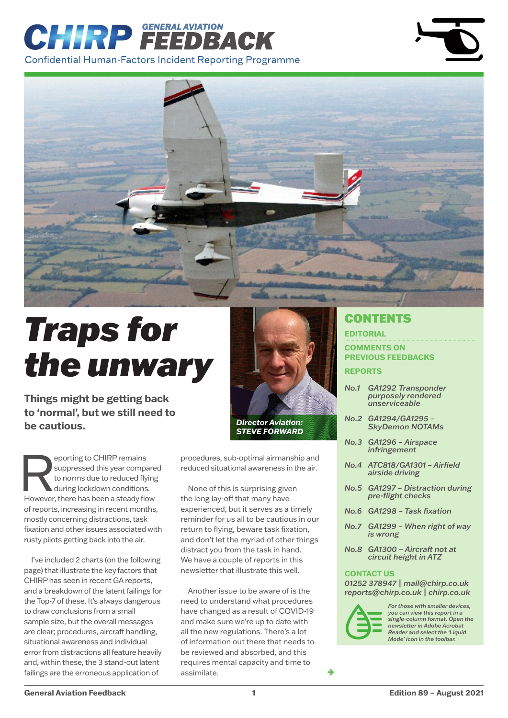# *GENERAL AVIATION* **Confidential Human-Factors Incident Reporting Programme**



# *Traps for the unwary*

**Things might be getting back to 'normal', but we still need to be cautious.**

eporting to CHIRP remains<br>
suppressed this year compare<br>
to norms due to reduced flying<br>
during lockdown conditions.<br>
However, there has been a steady flow suppressed this year compared to norms due to reduced flying during lockdown conditions. of reports, increasing in recent months, mostly concerning distractions, task fixation and other issues associated with rusty pilots getting back into the air.

I've included 2 charts (on the following page) that illustrate the key factors that CHIRP has seen in recent GA reports, and a breakdown of the latent failings for the Top-7 of these. It's always dangerous to draw conclusions from a small sample size, but the overall messages are clear; procedures, aircraft handling, situational awareness and individual error from distractions all feature heavily and, within these, the 3 stand-out latent failings are the erroneous application of



procedures, sub-optimal airmanship and reduced situational awareness in the air.

None of this is surprising given the long lay-off that many have experienced, but it serves as a timely reminder for us all to be cautious in our return to flying, beware task fixation, and don't let the myriad of other things distract you from the task in hand. We have a couple of reports in this newsletter that illustrate this well.

Another issue to be aware of is the need to understand what procedures have changed as a result of COVID-19 and make sure we're up to date with all the new regulations. There's a lot of information out there that needs to be reviewed and absorbed, and this requires mental capacity and time to assimilate.

# **CONTENTS**

#### **EDITORIAL**

**[COMMENTS ON](#page-2-0)  [PREVIOUS FEEDBACKS](#page-2-0) REPORTS**

- *[No.1 GA1292 Transponder](#page-4-0)  [purposely rendered](#page-4-0)  [unserviceable](#page-4-0)*
- *[No.2](#page-5-0) GA1294/GA1295 SkyDemon NOTAMs*
- *[No.3](#page-6-0) GA1296 Airspace infringement*
- *[No.4](#page-7-0) ATC818/GA1301 Airfield airside driving*
- *[No.5](#page-8-0) GA1297 Distraction during pre-flight checks*
- *[No.6](#page-8-0) GA1298 Task fixation*
- *[No.7](#page-9-0) GA1299 When right of way is wrong*
- *[No.8](#page-10-0) GA1300 Aircraft not at circuit height in ATZ*

#### **CONTACT US**

*01252 378947 | [mail@chirp.co.uk](mailto:mail%40chirp.co.uk%20?subject=) [reports@chirp.co.uk |](mailto:reports%40chirp.co.uk%20?subject=) [chirp.co.uk](http://www.chirp.co.uk )*



→

*For those with smaller devices, you can view this report in a single-column format. Open the newsletter in Adobe Acrobat Reader and select the 'Liquid Mode' icon in the toolbar.*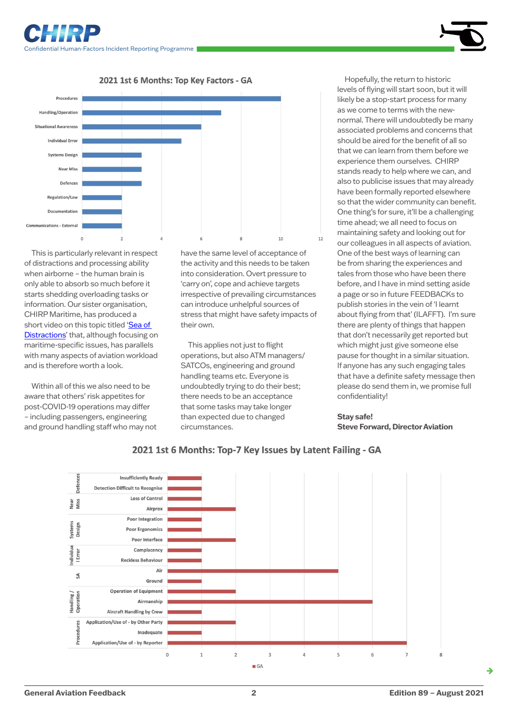







This is particularly relevant in respect of distractions and processing ability when airborne – the human brain is only able to absorb so much before it starts shedding overloading tasks or information. Our sister organisation, CHIRP Maritime, has produced a short video on this topic titled 'Sea of [Distractions](https://www.youtube.com/watch?v=7JJcDNVIIXE)' that, although focusing on maritime-specific issues, has parallels with many aspects of aviation workload and is therefore worth a look.

Within all of this we also need to be aware that others' risk appetites for post-COVID-19 operations may differ – including passengers, engineering and ground handling staff who may not have the same level of acceptance of the activity and this needs to be taken into consideration. Overt pressure to 'carry on', cope and achieve targets irrespective of prevailing circumstances can introduce unhelpful sources of stress that might have safety impacts of their own.

 $12$ 

This applies not just to flight operations, but also ATM managers/ SATCOs, engineering and ground handling teams etc. Everyone is undoubtedly trying to do their best; there needs to be an acceptance that some tasks may take longer than expected due to changed circumstances.

Hopefully, the return to historic levels of flying will start soon, but it will likely be a stop-start process for many as we come to terms with the newnormal. There will undoubtedly be many associated problems and concerns that should be aired for the benefit of all so that we can learn from them before we experience them ourselves. CHIRP stands ready to help where we can, and also to publicise issues that may already have been formally reported elsewhere so that the wider community can benefit. One thing's for sure, it'll be a challenging time ahead; we all need to focus on maintaining safety and looking out for our colleagues in all aspects of aviation. One of the best ways of learning can be from sharing the experiences and tales from those who have been there before, and I have in mind setting aside a page or so in future FEEDBACKs to publish stories in the vein of 'I learnt about flying from that' (ILAFFT). I'm sure there are plenty of things that happen that don't necessarily get reported but which might just give someone else pause for thought in a similar situation. If anyone has any such engaging tales that have a definite safety message then please do send them in, we promise full confidentiality!

#### **Stay safe! Steve Forward, Director Aviation**



2021 1st 6 Months: Top-7 Key Issues by Latent Failing - GA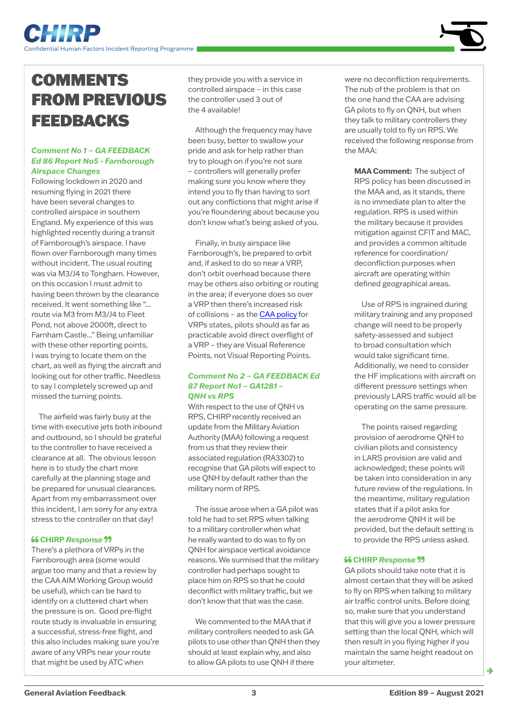# <span id="page-2-0"></span>**COMMENTS** FROM PREVIOUS FEEDBACKS

#### *Comment No 1 – GA FEEDBACK Ed 86 Report No5 - Farnborough Airspace Changes*

Following lockdown in 2020 and resuming flying in 2021 there have been several changes to controlled airspace in southern England. My experience of this was highlighted recently during a transit of Farnborough's airspace. I have flown over Farnborough many times without incident. The usual routing was via M3/J4 to Tongham. However, on this occasion I must admit to having been thrown by the clearance received. It went something like "... route via M3 from M3/J4 to Fleet Pond, not above 2000ft, direct to Farnham Castle..." Being unfamiliar with these other reporting points, I was trying to locate them on the chart, as well as flying the aircraft and looking out for other traffic. Needless to say I completely screwed up and missed the turning points.

The airfield was fairly busy at the time with executive jets both inbound and outbound, so I should be grateful to the controller to have received a clearance at all. The obvious lesson here is to study the chart more carefully at the planning stage and be prepared for unusual clearances. Apart from my embarrassment over this incident, I am sorry for any extra stress to the controller on that day!

#### **CHIRP** *Response*

There's a plethora of VRPs in the Farnborough area (some would argue too many and that a review by the CAA AIM Working Group would be useful), which can be hard to identify on a cluttered chart when the pressure is on. Good pre-flight route study is invaluable in ensuring a successful, stress-free flight, and this also includes making sure you're aware of any VRPs near your route that might be used by ATC when

they provide you with a service in controlled airspace – in this case the controller used 3 out of the 4 available!

Although the frequency may have been busy, better to swallow your pride and ask for help rather than try to plough on if you're not sure – controllers will generally prefer making sure you know where they intend you to fly than having to sort out any conflictions that might arise if you're floundering about because you don't know what's being asked of you.

Finally, in busy airspace like Farnborough's, be prepared to orbit and, if asked to do so near a VRP, don't orbit overhead because there may be others also orbiting or routing in the area; if everyone does so over a VRP then there's increased risk of collisions – as the [CAA policy](http://publicapps.caa.co.uk/docs/33/PolicyStatementEstablishmentOfVisualReferencePointsV2.pdf) for VRPs states, pilots should as far as practicable avoid direct overflight of a VRP – they are Visual Reference Points, not Visual Reporting Points.

#### *Comment No 2 – GA FEEDBACK Ed 87 Report No1 – GA1281 – QNH vs RPS*

With respect to the use of QNH vs RPS, CHIRP recently received an update from the Military Aviation Authority (MAA) following a request from us that they review their associated regulation (RA3302) to recognise that GA pilots will expect to use QNH by default rather than the military norm of RPS.

The issue arose when a GA pilot was told he had to set RPS when talking to a military controller when what he really wanted to do was to fly on QNH for airspace vertical avoidance reasons. We surmised that the military controller had perhaps sought to place him on RPS so that he could deconflict with military traffic, but we don't know that that was the case.

We commented to the MAA that if military controllers needed to ask GA pilots to use other than QNH then they should at least explain why, and also to allow GA pilots to use QNH if there

were no deconfliction requirements. The nub of the problem is that on the one hand the CAA are advising GA pilots to fly on QNH, but when they talk to military controllers they are usually told to fly on RPS. We received the following response from the MAA:

**MAA Comment:** The subject of RPS policy has been discussed in the MAA and, as it stands, there is no immediate plan to alter the regulation. RPS is used within the military because it provides mitigation against CFIT and MAC, and provides a common altitude reference for coordination/ deconfliction purposes when aircraft are operating within defined geographical areas.

Use of RPS is ingrained during military training and any proposed change will need to be properly safety-assessed and subject to broad consultation which would take significant time. Additionally, we need to consider the HF implications with aircraft on different pressure settings when previously LARS traffic would all be operating on the same pressure.

The points raised regarding provision of aerodrome QNH to civilian pilots and consistency in LARS provision are valid and acknowledged; these points will be taken into consideration in any future review of the regulations. In the meantime, military regulation states that if a pilot asks for the aerodrome QNH it will be provided, but the default setting is to provide the RPS unless asked.

#### **CHIRP** *Response*

GA pilots should take note that it is almost certain that they will be asked to fly on RPS when talking to military air traffic control units. Before doing so, make sure that you understand that this will give you a lower pressure setting than the local QNH, which will then result in you flying higher if you maintain the same height readout on your altimeter.

ک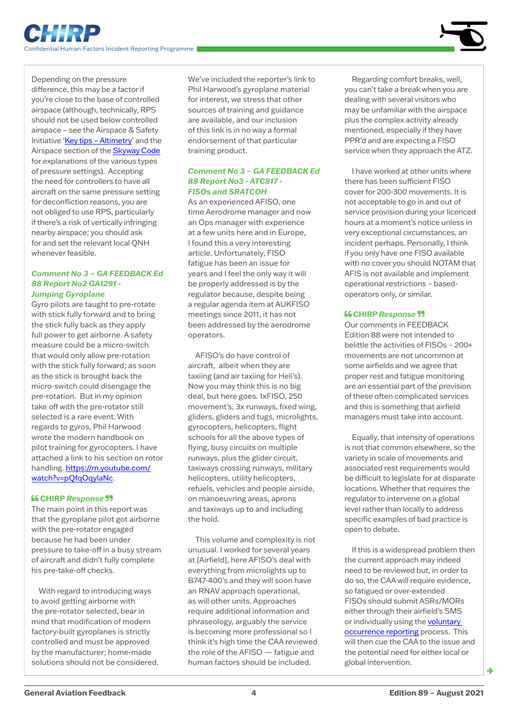Depending on the pressure difference, this may be a factor if you're close to the base of controlled airspace (although, technically, RPS should not be used below controlled airspace – see the Airspace & Safety Initiative ['Key tips – Altimetry'](https://airspacesafety.com/wp-content/uploads/2020/02/ASI_Altimetry_Key_tips_Feb2020.pdf) and the Airspace section of the [Skyway Code](https://www.caa.co.uk/General-aviation/Safety-information/The-Skyway-Code/) for explanations of the various types of pressure settings). Accepting the need for controllers to have all aircraft on the same pressure setting for deconfliction reasons, you are not obliged to use RPS, particularly if there's a risk of vertically infringing nearby airspace; you should ask for and set the relevant local QNH whenever feasible.

#### *Comment No 3 – GA FEEDBACK Ed 88 Report No2 GA1291 - Jumping Gyroplane*

Gyro pilots are taught to pre-rotate with stick fully forward and to bring the stick fully back as they apply full power to get airborne. A safety measure could be a micro-switch that would only allow pre-rotation with the stick fully forward; as soon as the stick is brought back the micro-switch could disengage the pre-rotation. But in my opinion take off with the pre-rotator still selected is a rare event. With regards to gyros, Phil Harwood wrote the modern handbook on pilot training for gyrocopters. I have attached a link to his section on rotor handling. [https://m.youtube.com/](https://m.youtube.com/watch?v=pQfqOqylaNc) [watch?v=pQfqOqylaNc](https://m.youtube.com/watch?v=pQfqOqylaNc).

#### **CHIRP** *Response*

The main point in this report was that the gyroplane pilot got airborne with the pre-rotator engaged because he had been under pressure to take-off in a busy stream of aircraft and didn't fully complete his pre-take-off checks.

With regard to introducing ways to avoid getting airborne with the pre-rotator selected, bear in mind that modification of modern factory-built gyroplanes is strictly controlled and must be approved by the manufacturer; home-made solutions should not be considered. We've included the reporter's link to Phil Harwood's gyroplane material for interest, we stress that other sources of training and guidance are available, and our inclusion of this link is in no way a formal endorsement of that particular training product.

#### *Comment No 3 – GA FEEDBACK Ed 88 Report No3 - ATC817 - FISOs and SRATCOH*

As an experienced AFISO, one time Aerodrome manager and now an Ops manager with experience at a few units here and in Europe, I found this a very interesting article. Unfortunately, FISO fatigue has been an issue for years and I feel the only way it will be properly addressed is by the regulator because, despite being a regular agenda item at AUKFISO meetings since 2011, it has not been addressed by the aerodrome operators.

AFISO's do have control of aircraft, albeit when they are taxiing (and air taxiing for Heli's). Now you may think this is no big deal, but here goes. 1xFISO, 250 movement's, 3x runways, fixed wing, gliders, gliders and tugs, microlights, gyrocopters, helicopters, flight schools for all the above types of flying, busy circuits on multiple runways, plus the glider circuit, taxiways crossing runways, military helicopters, utility helicopters, refuels, vehicles and people airside, on manoeuvring areas, aprons and taxiways up to and including the hold.

This volume and complexity is not unusual. I worked for several years at [Airfield], here AFISO's deal with everything from microlights up to B747-400's and they will soon have an RNAV approach operational, as will other units. Approaches require additional information and phraseology, arguably the service is becoming more professional so I think it's high time the CAA reviewed the role of the AFISO — fatigue and human factors should be included.

Regarding comfort breaks, well, you can't take a break when you are dealing with several visitors who may be unfamiliar with the airspace plus the complex activity already mentioned, especially if they have PPR'd and are expecting a FISO service when they approach the ATZ.

I have worked at other units where there has been sufficient FISO cover for 200-300 movements. It is not acceptable to go in and out of service provision during your licenced hours at a moment's notice unless in very exceptional circumstances, an incident perhaps. Personally, I think if you only have one FISO available with no cover you should NOTAM that AFIS is not available and implement operational restrictions – basedoperators only, or similar.

#### **CHIRP** *Response*

Our comments in FEEDBACK Edition 88 were not intended to belittle the activities of FISOs – 200+ movements are not uncommon at some airfields and we agree that proper rest and fatigue monitoring are an essential part of the provision of these often complicated services and this is something that airfield managers must take into account.

Equally, that intensity of operations is not that common elsewhere, so the variety in scale of movements and associated rest requirements would be difficult to legislate for at disparate locations. Whether that requires the regulator to intervene on a global level rather than locally to address specific examples of bad practice is open to debate.

If this is a widespread problem then the current approach may indeed need to be reviewed but, in order to do so, the CAA will require evidence, so fatigued or over-extended FISOs should submit ASRs/MORs either through their airfield's SMS or individually using the [voluntary](https://www.caa.co.uk/Our-work/Make-a-report-or-complaint/MOR/Occurrence-reporting/)  [occurrence reporting](https://www.caa.co.uk/Our-work/Make-a-report-or-complaint/MOR/Occurrence-reporting/) process. This will then cue the CAA to the issue and the potential need for either local or global intervention.

ک

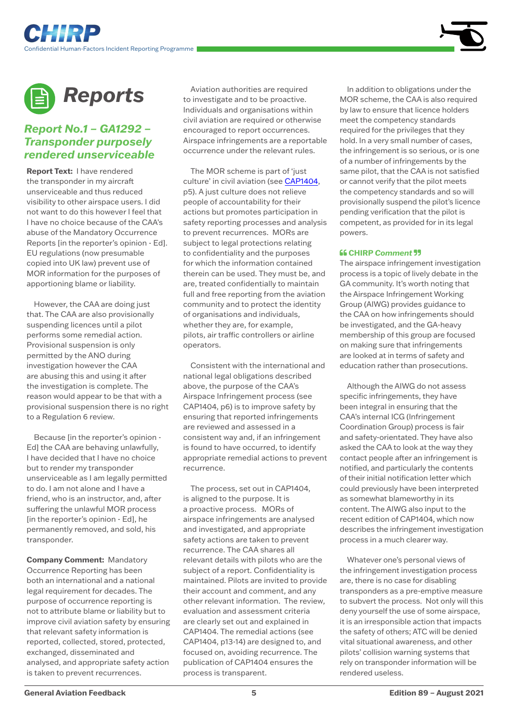

<span id="page-4-0"></span>

### *Report No.1 – GA1292 – Transponder purposely rendered unserviceable*

**Report Text:** I have rendered the transponder in my aircraft unserviceable and thus reduced visibility to other airspace users. I did not want to do this however I feel that I have no choice because of the CAA's abuse of the Mandatory Occurrence Reports [in the reporter's opinion - Ed]. EU regulations (now presumable copied into UK law) prevent use of MOR information for the purposes of apportioning blame or liability.

However, the CAA are doing just that. The CAA are also provisionally suspending licences until a pilot performs some remedial action. Provisional suspension is only permitted by the ANO during investigation however the CAA are abusing this and using it after the investigation is complete. The reason would appear to be that with a provisional suspension there is no right to a Regulation 6 review.

Because [in the reporter's opinion - Ed] the CAA are behaving unlawfully, I have decided that I have no choice but to render my transponder unserviceable as I am legally permitted to do. I am not alone and I have a friend, who is an instructor, and, after suffering the unlawful MOR process [in the reporter's opinion - Ed], he permanently removed, and sold, his transponder.

**Company Comment:** Mandatory Occurrence Reporting has been both an international and a national legal requirement for decades. The purpose of occurrence reporting is not to attribute blame or liability but to improve civil aviation safety by ensuring that relevant safety information is reported, collected, stored, protected, exchanged, disseminated and analysed, and appropriate safety action is taken to prevent recurrences.

Aviation authorities are required to investigate and to be proactive. Individuals and organisations within civil aviation are required or otherwise encouraged to report occurrences. Airspace infringements are a reportable occurrence under the relevant rules.

The MOR scheme is part of 'just culture' in civil aviation (see [CAP1404,](https://publicapps.caa.co.uk/docs/33/CAP1404%20Edition%205%20(August%202021).pdf) p5). A just culture does not relieve people of accountability for their actions but promotes participation in safety reporting processes and analysis to prevent recurrences. MORs are subject to legal protections relating to confidentiality and the purposes for which the information contained therein can be used. They must be, and are, treated confidentially to maintain full and free reporting from the aviation community and to protect the identity of organisations and individuals, whether they are, for example, pilots, air traffic controllers or airline operators.

Consistent with the international and national legal obligations described above, the purpose of the CAA's Airspace Infringement process (see CAP1404, p6) is to improve safety by ensuring that reported infringements are reviewed and assessed in a consistent way and, if an infringement is found to have occurred, to identify appropriate remedial actions to prevent recurrence.

The process, set out in CAP1404, is aligned to the purpose. It is a proactive process. MORs of airspace infringements are analysed and investigated, and appropriate safety actions are taken to prevent recurrence. The CAA shares all relevant details with pilots who are the subject of a report. Confidentiality is maintained. Pilots are invited to provide their account and comment, and any other relevant information. The review, evaluation and assessment criteria are clearly set out and explained in CAP1404. The remedial actions (see CAP1404, p13-14) are designed to, and focused on, avoiding recurrence. The publication of CAP1404 ensures the process is transparent.

In addition to obligations under the MOR scheme, the CAA is also required by law to ensure that licence holders meet the competency standards required for the privileges that they hold. In a very small number of cases, the infringement is so serious, or is one of a number of infringements by the same pilot, that the CAA is not satisfied or cannot verify that the pilot meets the competency standards and so will provisionally suspend the pilot's licence pending verification that the pilot is competent, as provided for in its legal powers.

#### **66 CHIRP Comment 99**

The airspace infringement investigation process is a topic of lively debate in the GA community. It's worth noting that the Airspace Infringement Working Group (AIWG) provides guidance to the CAA on how infringements should be investigated, and the GA-heavy membership of this group are focused on making sure that infringements are looked at in terms of safety and education rather than prosecutions.

Although the AIWG do not assess specific infringements, they have been integral in ensuring that the CAA's internal ICG (Infringement Coordination Group) process is fair and safety-orientated. They have also asked the CAA to look at the way they contact people after an infringement is notified, and particularly the contents of their initial notification letter which could previously have been interpreted as somewhat blameworthy in its content. The AIWG also input to the recent edition of CAP1404, which now describes the infringement investigation process in a much clearer way.

Whatever one's personal views of the infringement investigation process are, there is no case for disabling transponders as a pre-emptive measure to subvert the process. Not only will this deny yourself the use of some airspace, it is an irresponsible action that impacts the safety of others; ATC will be denied vital situational awareness, and other pilots' collision warning systems that rely on transponder information will be rendered useless.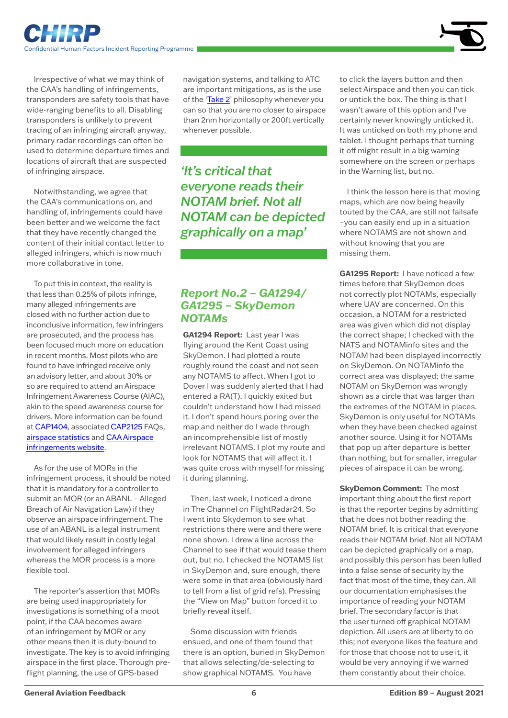

<span id="page-5-0"></span>Irrespective of what we may think of the CAA's handling of infringements, transponders are safety tools that have wide-ranging benefits to all. Disabling transponders is unlikely to prevent tracing of an infringing aircraft anyway, primary radar recordings can often be used to determine departure times and locations of aircraft that are suspected of infringing airspace.

Notwithstanding, we agree that the CAA's communications on, and handling of, infringements could have been better and we welcome the fact that they have recently changed the content of their initial contact letter to alleged infringers, which is now much more collaborative in tone.

To put this in context, the reality is that less than 0.25% of pilots infringe, many alleged infringements are closed with no further action due to inconclusive information, few infringers are prosecuted, and the process has been focused much more on education in recent months. Most pilots who are found to have infringed receive only an advisory letter, and about 30% or so are required to attend an Airspace Infringement Awareness Course (AIAC), akin to the speed awareness course for drivers. More information can be found at [CAP1404](https://publicapps.caa.co.uk/docs/33/CAP1404%20Edition%205%20(August%202021).pdf), associated [CAP2125](https://publicapps.caa.co.uk/docs/33/CAP%202125%20Airspace%20infringements%20fact%20file.pdf) FAOs. [airspace statistics](https://airspacesafety.com/statistics/) and [CAA Airspace](https://www.caa.co.uk/Commercial-industry/Airspace/Airspace-infringements/)  [infringements website](https://www.caa.co.uk/Commercial-industry/Airspace/Airspace-infringements/).

As for the use of MORs in the infringement process, it should be noted that it is mandatory for a controller to submit an MOR (or an ABANL – Alleged Breach of Air Navigation Law) if they observe an airspace infringement. The use of an ABANL is a legal instrument that would likely result in costly legal involvement for alleged infringers whereas the MOR process is a more flexible tool.

The reporter's assertion that MORs are being used inappropriately for investigations is something of a moot point, if the CAA becomes aware of an infringement by MOR or any other means then it is duty-bound to investigate. The key is to avoid infringing airspace in the first place. Thorough preflight planning, the use of GPS-based

navigation systems, and talking to ATC are important mitigations, as is the use of the '[Take 2'](https://www.gasco.org.uk/flight-safety-information/take-two) philosophy whenever you can so that you are no closer to airspace than 2nm horizontally or 200ft vertically whenever possible.

*'It's critical that everyone reads their NOTAM brief. Not all NOTAM can be depicted graphically on a map'* 

# *Report No.2 – GA1294/ GA1295 – SkyDemon NOTAMs*

**GA1294 Report:** Last year I was flying around the Kent Coast using SkyDemon. I had plotted a route roughly round the coast and not seen any NOTAMS to affect. When I got to Dover I was suddenly alerted that I had entered a RA(T). I quickly exited but couldn't understand how I had missed it. I don't spend hours poring over the map and neither do I wade through an incomprehensible list of mostly irrelevant NOTAMS. I plot my route and look for NOTAMS that will affect it. I was quite cross with myself for missing it during planning.

Then, last week, I noticed a drone in The Channel on FlightRadar24. So I went into Skydemon to see what restrictions there were and there were none shown. I drew a line across the Channel to see if that would tease them out, but no. I checked the NOTAMS list in SkyDemon and, sure enough, there were some in that area (obviously hard to tell from a list of grid refs). Pressing the "View on Map" button forced it to briefly reveal itself.

Some discussion with friends ensued, and one of them found that there is an option, buried in SkyDemon that allows selecting/de-selecting to show graphical NOTAMS. You have

to click the layers button and then select Airspace and then you can tick or untick the box. The thing is that I wasn't aware of this option and I've certainly never knowingly unticked it. It was unticked on both my phone and tablet. I thought perhaps that turning it off might result in a big warning somewhere on the screen or perhaps in the Warning list, but no.

I think the lesson here is that moving maps, which are now being heavily touted by the CAA, are still not failsafe –you can easily end up in a situation where NOTAMS are not shown and without knowing that you are missing them.

**GA1295 Report:** I have noticed a few times before that SkyDemon does not correctly plot NOTAMs, especially where UAV are concerned. On this occasion, a NOTAM for a restricted area was given which did not display the correct shape; I checked with the NATS and NOTAMinfo sites and the NOTAM had been displayed incorrectly on SkyDemon. On NOTAMinfo the correct area was displayed; the same NOTAM on SkyDemon was wrongly shown as a circle that was larger than the extremes of the NOTAM in places. SkyDemon is only useful for NOTAMs when they have been checked against another source. Using it for NOTAMs that pop up after departure is better than nothing, but for smaller, irregular pieces of airspace it can be wrong.

**SkyDemon Comment:** The most important thing about the first report is that the reporter begins by admitting that he does not bother reading the NOTAM brief. It is critical that everyone reads their NOTAM brief. Not all NOTAM can be depicted graphically on a map, and possibly this person has been lulled into a false sense of security by the fact that most of the time, they can. All our documentation emphasises the importance of reading your NOTAM brief. The secondary factor is that the user turned off graphical NOTAM depiction. All users are at liberty to do this; not everyone likes the feature and for those that choose not to use it, it would be very annoying if we warned them constantly about their choice.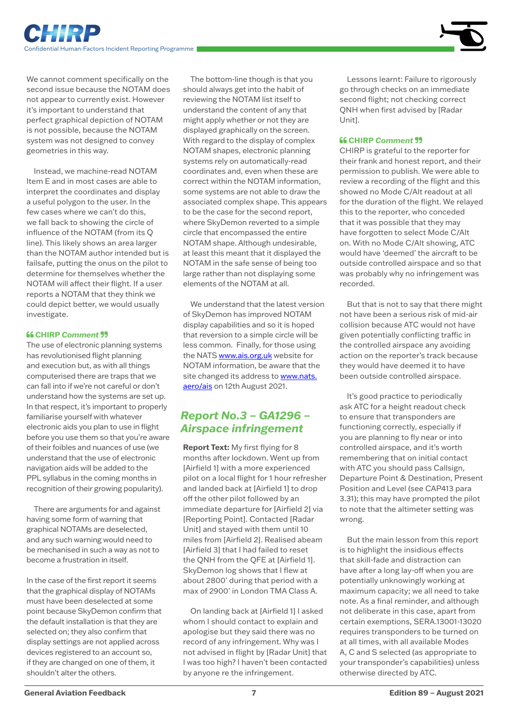

<span id="page-6-0"></span>We cannot comment specifically on the second issue because the NOTAM does not appear to currently exist. However it's important to understand that perfect graphical depiction of NOTAM is not possible, because the NOTAM system was not designed to convey geometries in this way.

Instead, we machine-read NOTAM Item E and in most cases are able to interpret the coordinates and display a useful polygon to the user. In the few cases where we can't do this, we fall back to showing the circle of influence of the NOTAM (from its Q line). This likely shows an area larger than the NOTAM author intended but is failsafe, putting the onus on the pilot to determine for themselves whether the NOTAM will affect their flight. If a user reports a NOTAM that they think we could depict better, we would usually investigate.

#### **CHIRP** *Comment*

The use of electronic planning systems has revolutionised flight planning and execution but, as with all things computerised there are traps that we can fall into if we're not careful or don't understand how the systems are set up. In that respect, it's important to properly familiarise yourself with whatever electronic aids you plan to use in flight before you use them so that you're aware of their foibles and nuances of use (we understand that the use of electronic navigation aids will be added to the PPL syllabus in the coming months in recognition of their growing popularity).

There are arguments for and against having some form of warning that graphical NOTAMs are deselected, and any such warning would need to be mechanised in such a way as not to become a frustration in itself.

In the case of the first report it seems that the graphical display of NOTAMs must have been deselected at some point because SkyDemon confirm that the default installation is that they are selected on; they also confirm that display settings are not applied across devices registered to an account so, if they are changed on one of them, it shouldn't alter the others.

The bottom-line though is that you should always get into the habit of reviewing the NOTAM list itself to understand the content of any that might apply whether or not they are displayed graphically on the screen. With regard to the display of complex NOTAM shapes, electronic planning systems rely on automatically-read coordinates and, even when these are correct within the NOTAM information, some systems are not able to draw the associated complex shape. This appears to be the case for the second report, where SkyDemon reverted to a simple circle that encompassed the entire NOTAM shape. Although undesirable, at least this meant that it displayed the NOTAM in the safe sense of being too large rather than not displaying some elements of the NOTAM at all.

We understand that the latest version of SkyDemon has improved NOTAM display capabilities and so it is hoped that reversion to a simple circle will be less common. Finally, for those using the NATS [www.ais.org.uk](http://www.ais.org.uk) website for NOTAM information, be aware that the site changed its address to [www.nats.](http://www.nats.aero/ais) [aero/ais](http://www.nats.aero/ais) on 12th August 2021.

# *Report No.3 – GA1296 – Airspace infringement*

**Report Text:** My first flying for 8 months after lockdown. Went up from [Airfield 1] with a more experienced pilot on a local flight for 1 hour refresher and landed back at [Airfield 1] to drop off the other pilot followed by an immediate departure for [Airfield 2] via [Reporting Point]. Contacted [Radar Unit] and stayed with them until 10 miles from [Airfield 2]. Realised abeam [Airfield 3] that I had failed to reset the QNH from the QFE at [Airfield 1]. SkyDemon log shows that I flew at about 2800' during that period with a max of 2900' in London TMA Class A.

On landing back at [Airfield 1] I asked whom I should contact to explain and apologise but they said there was no record of any infringement. Why was I not advised in flight by [Radar Unit] that I was too high? I haven't been contacted by anyone re the infringement.

Lessons learnt: Failure to rigorously go through checks on an immediate second flight; not checking correct QNH when first advised by [Radar Unit].

#### **CHIRP** *Comment*

CHIRP is grateful to the reporter for their frank and honest report, and their permission to publish. We were able to review a recording of the flight and this showed no Mode C/Alt readout at all for the duration of the flight. We relayed this to the reporter, who conceded that it was possible that they may have forgotten to select Mode C/Alt on. With no Mode C/Alt showing, ATC would have 'deemed' the aircraft to be outside controlled airspace and so that was probably why no infringement was recorded.

But that is not to say that there might not have been a serious risk of mid-air collision because ATC would not have given potentially conflicting traffic in the controlled airspace any avoiding action on the reporter's track because they would have deemed it to have been outside controlled airspace.

It's good practice to periodically ask ATC for a height readout check to ensure that transponders are functioning correctly, especially if you are planning to fly near or into controlled airspace, and it's worth remembering that on initial contact with ATC you should pass Callsign, Departure Point & Destination, Present Position and Level (see CAP413 para 3.31); this may have prompted the pilot to note that the altimeter setting was wrong.

But the main lesson from this report is to highlight the insidious effects that skill-fade and distraction can have after a long lay-off when you are potentially unknowingly working at maximum capacity; we all need to take note. As a final reminder, and although not deliberate in this case, apart from certain exemptions, SERA.13001-13020 requires transponders to be turned on at all times, with all available Modes A, C and S selected (as appropriate to your transponder's capabilities) unless otherwise directed by ATC.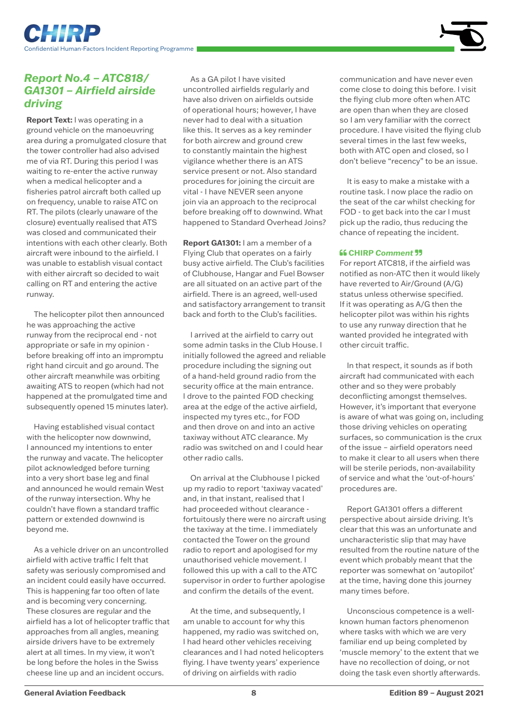<span id="page-7-0"></span>



# *Report No.4 – ATC818/ GA1301 – Airfield airside driving*

**Report Text:** I was operating in a ground vehicle on the manoeuvring area during a promulgated closure that the tower controller had also advised me of via RT. During this period I was waiting to re-enter the active runway when a medical helicopter and a fisheries patrol aircraft both called up on frequency, unable to raise ATC on RT. The pilots (clearly unaware of the closure) eventually realised that ATS was closed and communicated their intentions with each other clearly. Both aircraft were inbound to the airfield. I was unable to establish visual contact with either aircraft so decided to wait calling on RT and entering the active runway.

The helicopter pilot then announced he was approaching the active runway from the reciprocal end - not appropriate or safe in my opinion before breaking off into an impromptu right hand circuit and go around. The other aircraft meanwhile was orbiting awaiting ATS to reopen (which had not happened at the promulgated time and subsequently opened 15 minutes later).

Having established visual contact with the helicopter now downwind, I announced my intentions to enter the runway and vacate. The helicopter pilot acknowledged before turning into a very short base leg and final and announced he would remain West of the runway intersection. Why he couldn't have flown a standard traffic pattern or extended downwind is beyond me.

As a vehicle driver on an uncontrolled airfield with active traffic I felt that safety was seriously compromised and an incident could easily have occurred. This is happening far too often of late and is becoming very concerning. These closures are regular and the airfield has a lot of helicopter traffic that approaches from all angles, meaning airside drivers have to be extremely alert at all times. In my view, it won't be long before the holes in the Swiss cheese line up and an incident occurs.

As a GA pilot I have visited uncontrolled airfields regularly and have also driven on airfields outside of operational hours; however, I have never had to deal with a situation like this. It serves as a key reminder for both aircrew and ground crew to constantly maintain the highest vigilance whether there is an ATS service present or not. Also standard procedures for joining the circuit are vital - I have NEVER seen anyone join via an approach to the reciprocal before breaking off to downwind. What happened to Standard Overhead Joins?

**Report GA1301:** I am a member of a Flying Club that operates on a fairly busy active airfield. The Club's facilities of Clubhouse, Hangar and Fuel Bowser are all situated on an active part of the airfield. There is an agreed, well-used and satisfactory arrangement to transit back and forth to the Club's facilities.

I arrived at the airfield to carry out some admin tasks in the Club House. I initially followed the agreed and reliable procedure including the signing out of a hand-held ground radio from the security office at the main entrance. I drove to the painted FOD checking area at the edge of the active airfield, inspected my tyres etc., for FOD and then drove on and into an active taxiway without ATC clearance. My radio was switched on and I could hear other radio calls.

On arrival at the Clubhouse I picked up my radio to report 'taxiway vacated' and, in that instant, realised that I had proceeded without clearance fortuitously there were no aircraft using the taxiway at the time. I immediately contacted the Tower on the ground radio to report and apologised for my unauthorised vehicle movement. I followed this up with a call to the ATC supervisor in order to further apologise and confirm the details of the event.

At the time, and subsequently, I am unable to account for why this happened, my radio was switched on, I had heard other vehicles receiving clearances and I had noted helicopters flying. I have twenty years' experience of driving on airfields with radio

communication and have never even come close to doing this before. I visit the flying club more often when ATC are open than when they are closed so I am very familiar with the correct procedure. I have visited the flying club several times in the last few weeks, both with ATC open and closed, so I don't believe "recency" to be an issue.

It is easy to make a mistake with a routine task. I now place the radio on the seat of the car whilst checking for FOD - to get back into the car I must pick up the radio, thus reducing the chance of repeating the incident.

#### **66 CHIRP Comment 99**

For report ATC818, if the airfield was notified as non-ATC then it would likely have reverted to Air/Ground (A/G) status unless otherwise specified. If it was operating as A/G then the helicopter pilot was within his rights to use any runway direction that he wanted provided he integrated with other circuit traffic.

In that respect, it sounds as if both aircraft had communicated with each other and so they were probably deconflicting amongst themselves. However, it's important that everyone is aware of what was going on, including those driving vehicles on operating surfaces, so communication is the crux of the issue – airfield operators need to make it clear to all users when there will be sterile periods, non-availability of service and what the 'out-of-hours' procedures are.

Report GA1301 offers a different perspective about airside driving. It's clear that this was an unfortunate and uncharacteristic slip that may have resulted from the routine nature of the event which probably meant that the reporter was somewhat on 'autopilot' at the time, having done this journey many times before.

Unconscious competence is a wellknown human factors phenomenon where tasks with which we are very familiar end up being completed by 'muscle memory' to the extent that we have no recollection of doing, or not doing the task even shortly afterwards.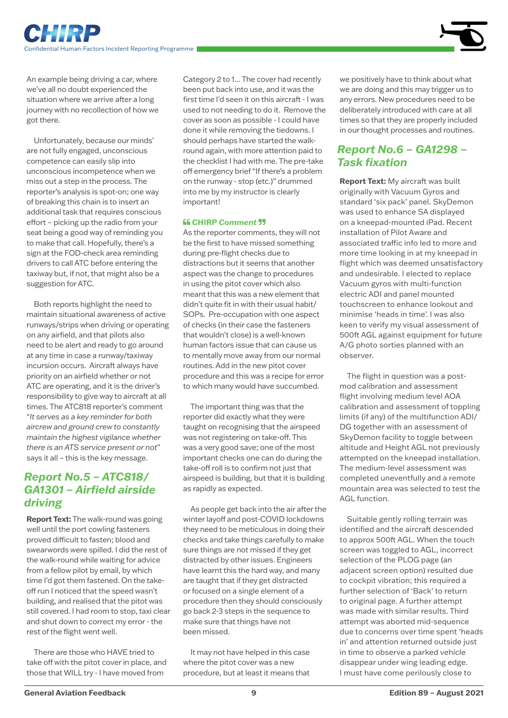

<span id="page-8-0"></span>An example being driving a car, where we've all no doubt experienced the situation where we arrive after a long journey with no recollection of how we got there.

Unfortunately, because our minds' are not fully engaged, unconscious competence can easily slip into unconscious incompetence when we miss out a step in the process. The reporter's analysis is spot-on; one way of breaking this chain is to insert an additional task that requires conscious effort – picking up the radio from your seat being a good way of reminding you to make that call. Hopefully, there's a sign at the FOD-check area reminding drivers to call ATC before entering the taxiway but, if not, that might also be a suggestion for ATC.

Both reports highlight the need to maintain situational awareness of active runways/strips when driving or operating on any airfield, and that pilots also need to be alert and ready to go around at any time in case a runway/taxiway incursion occurs. Aircraft always have priority on an airfield whether or not ATC are operating, and it is the driver's responsibility to give way to aircraft at all times. The ATC818 reporter's comment "*It serves as a key reminder for both aircrew and ground crew to constantly maintain the highest vigilance whether there is an ATS service present or not*" says it all – this is the key message.

# *Report No.5 – ATC818/ GA1301 – Airfield airside driving*

**Report Text:** The walk-round was going well until the port cowling fasteners proved difficult to fasten; blood and swearwords were spilled. I did the rest of the walk-round while waiting for advice from a fellow pilot by email, by which time I'd got them fastened. On the takeoff run I noticed that the speed wasn't building, and realised that the pitot was still covered. I had room to stop, taxi clear and shut down to correct my error - the rest of the flight went well.

There are those who HAVE tried to take off with the pitot cover in place, and those that WILL try - I have moved from

Category 2 to 1... The cover had recently been put back into use, and it was the first time I'd seen it on this aircraft - I was used to not needing to do it. Remove the cover as soon as possible - I could have done it while removing the tiedowns. I should perhaps have started the walkround again, with more attention paid to the checklist I had with me. The pre-take off emergency brief "If there's a problem on the runway - stop (etc.)" drummed into me by my instructor is clearly important!

#### **CHIRP** *Comment*

As the reporter comments, they will not be the first to have missed something during pre-flight checks due to distractions but it seems that another aspect was the change to procedures in using the pitot cover which also meant that this was a new element that didn't quite fit in with their usual habit/ SOPs. Pre-occupation with one aspect of checks (in their case the fasteners that wouldn't close) is a well-known human factors issue that can cause us to mentally move away from our normal routines. Add in the new pitot cover procedure and this was a recipe for error to which many would have succumbed.

The important thing was that the reporter did exactly what they were taught on recognising that the airspeed was not registering on take-off. This was a very good save; one of the most important checks one can do during the take-off roll is to confirm not just that airspeed is building, but that it is building as rapidly as expected.

As people get back into the air after the winter layoff and post-COVID lockdowns they need to be meticulous in doing their checks and take things carefully to make sure things are not missed if they get distracted by other issues. Engineers have learnt this the hard way, and many are taught that if they get distracted or focused on a single element of a procedure then they should consciously go back 2-3 steps in the sequence to make sure that things have not been missed.

It may not have helped in this case where the pitot cover was a new procedure, but at least it means that we positively have to think about what we are doing and this may trigger us to any errors. New procedures need to be deliberately introduced with care at all times so that they are properly included in our thought processes and routines.

# *Report No.6 – GA1298 – Task fixation*

**Report Text:** My aircraft was built originally with Vacuum Gyros and standard 'six pack' panel. SkyDemon was used to enhance SA displayed on a kneepad-mounted iPad. Recent installation of Pilot Aware and associated traffic info led to more and more time looking in at my kneepad in flight which was deemed unsatisfactory and undesirable. I elected to replace Vacuum gyros with multi-function electric ADI and panel mounted touchscreen to enhance lookout and minimise 'heads in time'. I was also keen to verify my visual assessment of 500ft AGL against equipment for future A/G photo sorties planned with an observer.

The flight in question was a postmod calibration and assessment flight involving medium level AOA calibration and assessment of toppling limits (if any) of the multifunction ADI/ DG together with an assessment of SkyDemon facility to toggle between altitude and Height AGL not previously attempted on the kneepad installation. The medium-level assessment was completed uneventfully and a remote mountain area was selected to test the AGL function.

Suitable gently rolling terrain was identified and the aircraft descended to approx 500ft AGL. When the touch screen was toggled to AGL, incorrect selection of the PLOG page (an adjacent screen option) resulted due to cockpit vibration; this required a further selection of 'Back' to return to original page. A further attempt was made with similar results. Third attempt was aborted mid-sequence due to concerns over time spent 'heads in' and attention returned outside just in time to observe a parked vehicle disappear under wing leading edge. I must have come perilously close to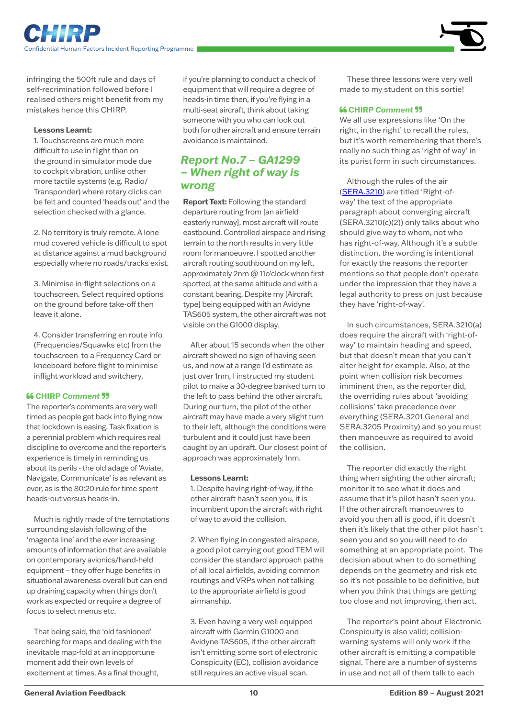<span id="page-9-0"></span>infringing the 500ft rule and days of self-recrimination followed before I realised others might benefit from my mistakes hence this CHIRP.

#### **Lessons Learnt:**

1. Touchscreens are much more difficult to use in flight than on the ground in simulator mode due to cockpit vibration, unlike other more tactile systems (e.g. Radio/ Transponder) where rotary clicks can be felt and counted 'heads out' and the selection checked with a glance.

2. No territory is truly remote. A lone mud covered vehicle is difficult to spot at distance against a mud background especially where no roads/tracks exist.

3. Minimise in-flight selections on a touchscreen. Select required options on the ground before take-off then leave it alone.

4. Consider transferring en route info (Frequencies/Squawks etc) from the touchscreen to a Frequency Card or kneeboard before flight to minimise inflight workload and switchery.

#### **CHIRP** *Comment*

The reporter's comments are very well timed as people get back into flying now that lockdown is easing. Task fixation is a perennial problem which requires real discipline to overcome and the reporter's experience is timely in reminding us about its perils - the old adage of 'Aviate, Navigate, Communicate' is as relevant as ever, as is the 80:20 rule for time spent heads-out versus heads-in.

Much is rightly made of the temptations surrounding slavish following of the 'magenta line' and the ever increasing amounts of information that are available on contemporary avionics/hand-held equipment – they offer huge benefits in situational awareness overall but can end up draining capacity when things don't work as expected or require a degree of focus to select menus etc.

That being said, the 'old fashioned' searching for maps and dealing with the inevitable map-fold at an inopportune moment add their own levels of excitement at times. As a final thought,

if you're planning to conduct a check of equipment that will require a degree of heads-in time then, if you're flying in a multi-seat aircraft, think about taking someone with you who can look out both for other aircraft and ensure terrain avoidance is maintained.

# *Report No.7 – GA1299 – When right of way is wrong*

**Report Text: Following the standard** departure routing from [an airfield easterly runway], most aircraft will route eastbound. Controlled airspace and rising terrain to the north results in very little room for manoeuvre. I spotted another aircraft routing southbound on my left, approximately 2nm @ 11o'clock when first spotted, at the same altitude and with a constant bearing. Despite my [Aircraft type] being equipped with an Avidyne TAS605 system, the other aircraft was not visible on the G1000 display.

After about 15 seconds when the other aircraft showed no sign of having seen us, and now at a range I'd estimate as just over 1nm, I instructed my student pilot to make a 30-degree banked turn to the left to pass behind the other aircraft. During our turn, the pilot of the other aircraft may have made a very slight turn to their left, although the conditions were turbulent and it could just have been caught by an updraft. Our closest point of approach was approximately 1nm.

#### **Lessons Learnt:**

1. Despite having right-of-way, if the other aircraft hasn't seen you, it is incumbent upon the aircraft with right of way to avoid the collision.

2. When flying in congested airspace, a good pilot carrying out good TEM will consider the standard approach paths of all local airfields, avoiding common routings and VRPs when not talking to the appropriate airfield is good airmanship.

3. Even having a very well equipped aircraft with Garmin G1000 and Avidyne TAS605, if the other aircraft isn't emitting some sort of electronic Conspicuity (EC), collision avoidance still requires an active visual scan.

These three lessons were very well made to my student on this sortie!

#### **CHIRP** *Comment*

We all use expressions like 'On the right, in the right' to recall the rules, but it's worth remembering that there's really no such thing as 'right of way' in its purist form in such circumstances.

Although the rules of the air [\(SERA.3210](https://www.easa.europa.eu/sites/default/files/dfu/Easy%20Access%20Rules%20for%20Standardised%20European%20Rules%20of%20the%20Air%20%28SERA%29.pdf)) are titled 'Right-ofway' the text of the appropriate paragraph about converging aircraft (SERA.3210(c)(2)) only talks about who should give way to whom, not who has right-of-way. Although it's a subtle distinction, the wording is intentional for exactly the reasons the reporter mentions so that people don't operate under the impression that they have a legal authority to press on just because they have 'right-of-way'.

In such circumstances, SERA.3210(a) does require the aircraft with 'right-ofway' to maintain heading and speed, but that doesn't mean that you can't alter height for example. Also, at the point when collision risk becomes imminent then, as the reporter did, the overriding rules about 'avoiding collisions' take precedence over everything (SERA.3201 General and SERA.3205 Proximity) and so you must then manoeuvre as required to avoid the collision.

The reporter did exactly the right thing when sighting the other aircraft; monitor it to see what it does and assume that it's pilot hasn't seen you. If the other aircraft manoeuvres to avoid you then all is good, if it doesn't then it's likely that the other pilot hasn't seen you and so you will need to do something at an appropriate point. The decision about when to do something depends on the geometry and risk etc so it's not possible to be definitive, but when you think that things are getting too close and not improving, then act.

The reporter's point about Electronic Conspicuity is also valid; collisionwarning systems will only work if the other aircraft is emitting a compatible signal. There are a number of systems in use and not all of them talk to each